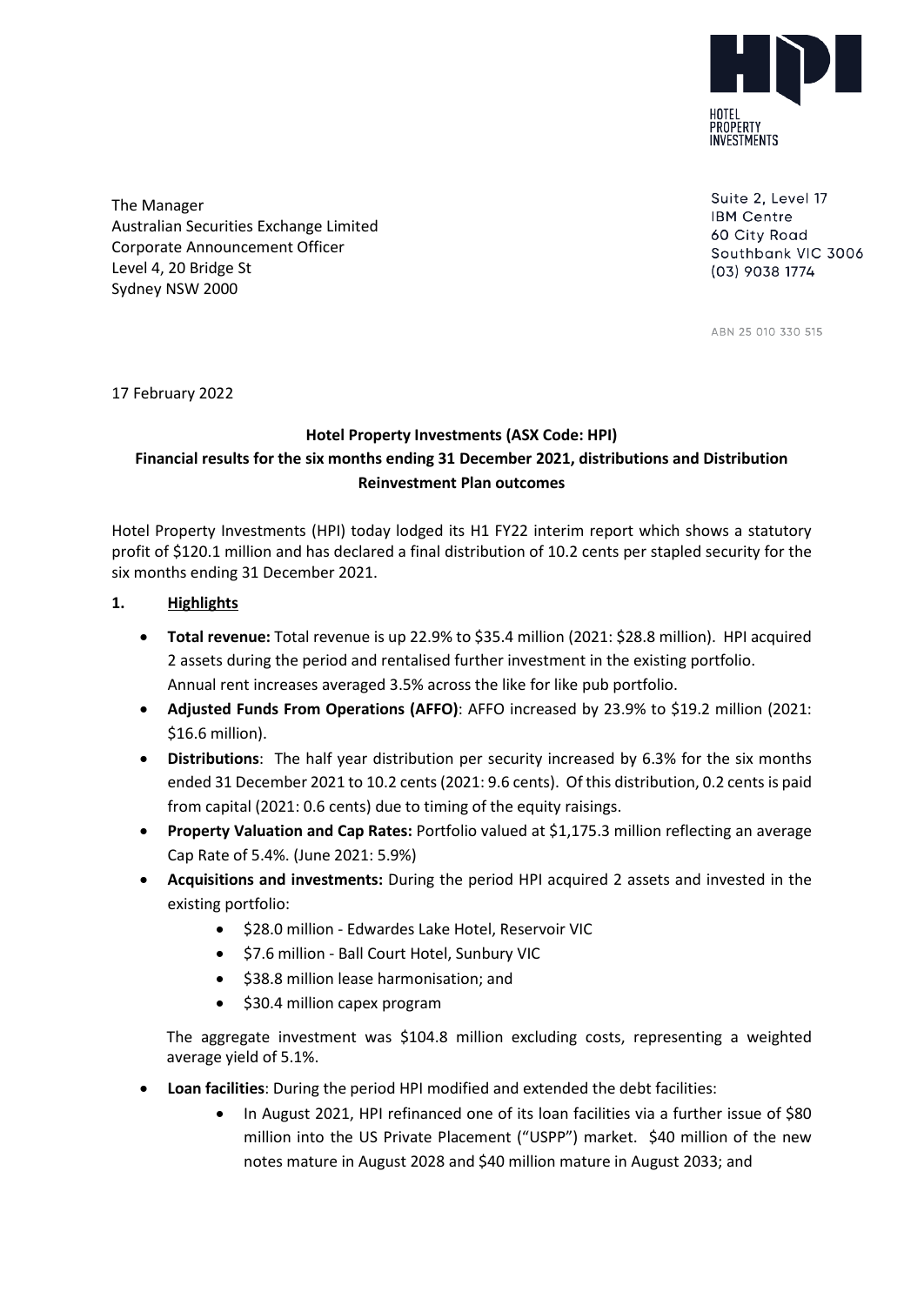

Suite 2, Level 17 **IBM Centre** 60 City Road Southbank VIC 3006 (03) 9038 1774

ABN 25 010 330 515

The Manager Australian Securities Exchange Limited Corporate Announcement Officer Level 4, 20 Bridge St Sydney NSW 2000

17 February 2022

# **Hotel Property Investments (ASX Code: HPI) Financial results for the six months ending 31 December 2021, distributions and Distribution Reinvestment Plan outcomes**

Hotel Property Investments (HPI) today lodged its H1 FY22 interim report which shows a statutory profit of \$120.1 million and has declared a final distribution of 10.2 cents per stapled security for the six months ending 31 December 2021.

# **1. Highlights**

- **Total revenue:** Total revenue is up 22.9% to \$35.4 million (2021: \$28.8 million). HPI acquired 2 assets during the period and rentalised further investment in the existing portfolio. Annual rent increases averaged 3.5% across the like for like pub portfolio.
- Adjusted Funds From Operations (AFFO): AFFO increased by 23.9% to \$19.2 million (2021: \$16.6 million).
- **Distributions**: The half year distribution per security increased by 6.3% for the six months ended 31 December 2021 to 10.2 cents (2021: 9.6 cents). Of this distribution, 0.2 cents is paid from capital (2021: 0.6 cents) due to timing of the equity raisings.
- **Property Valuation and Cap Rates:** Portfolio valued at \$1,175.3 million reflecting an average Cap Rate of 5.4%. (June 2021: 5.9%)
- **Acquisitions and investments:** During the period HPI acquired 2 assets and invested in the existing portfolio:
	- \$28.0 million Edwardes Lake Hotel, Reservoir VIC
	- \$7.6 million Ball Court Hotel, Sunbury VIC
	- \$38.8 million lease harmonisation; and
	- \$30.4 million capex program

The aggregate investment was \$104.8 million excluding costs, representing a weighted average yield of 5.1%.

- **Loan facilities**: During the period HPI modified and extended the debt facilities:
	- In August 2021, HPI refinanced one of its loan facilities via a further issue of \$80 million into the US Private Placement ("USPP") market. \$40 million of the new notes mature in August 2028 and \$40 million mature in August 2033; and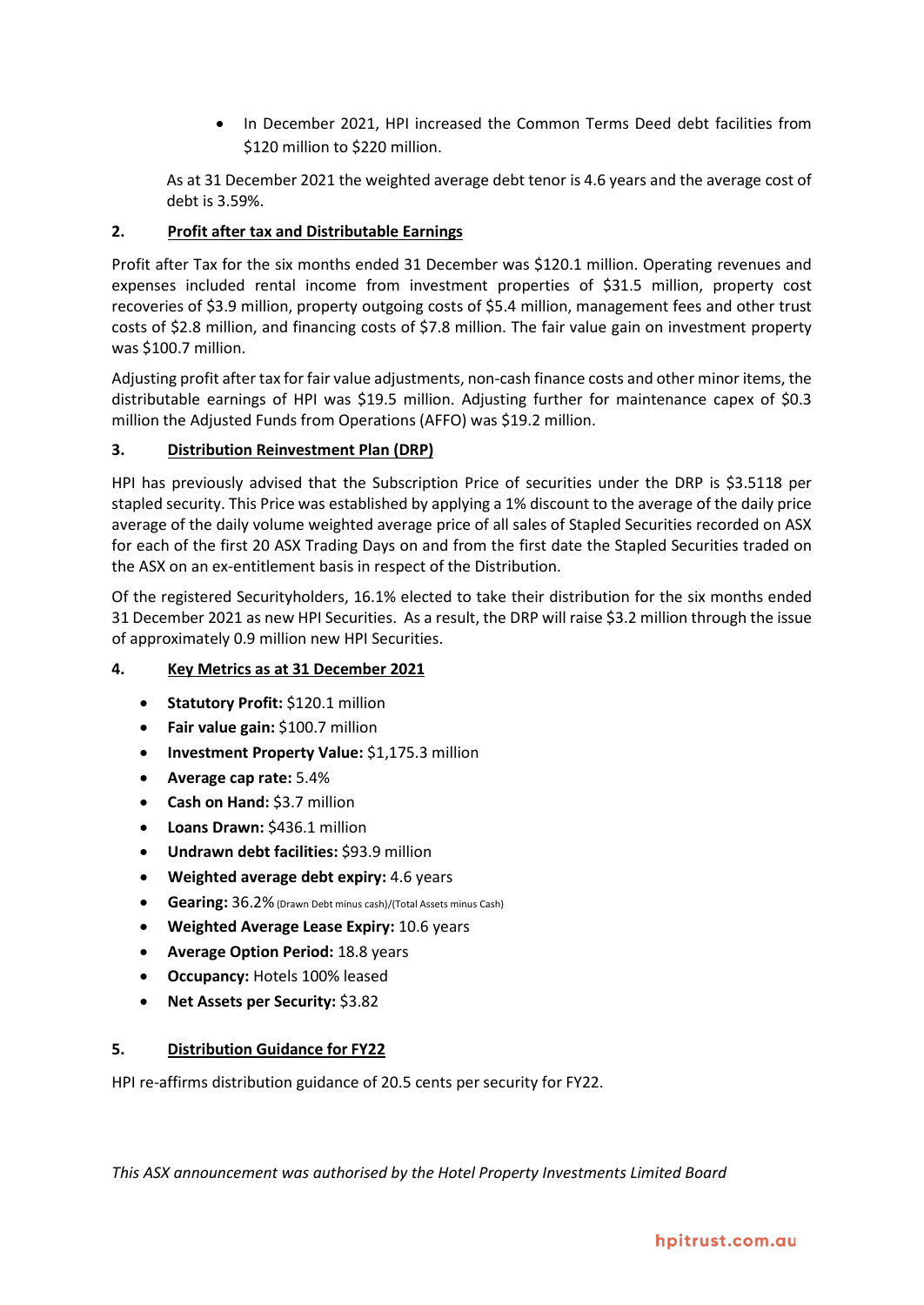• In December 2021, HPI increased the Common Terms Deed debt facilities from \$120 million to \$220 million.

As at 31 December 2021 the weighted average debt tenor is 4.6 years and the average cost of debt is 3.59%.

# **2. Profit after tax and Distributable Earnings**

Profit after Tax for the six months ended 31 December was \$120.1 million. Operating revenues and expenses included rental income from investment properties of \$31.5 million, property cost recoveries of \$3.9 million, property outgoing costs of \$5.4 million, management fees and other trust costs of \$2.8 million, and financing costs of \$7.8 million. The fair value gain on investment property was \$100.7 million.

Adjusting profit after tax for fair value adjustments, non-cash finance costs and other minor items, the distributable earnings of HPI was \$19.5 million. Adjusting further for maintenance capex of \$0.3 million the Adjusted Funds from Operations (AFFO) was \$19.2 million.

### **3. Distribution Reinvestment Plan (DRP)**

HPI has previously advised that the Subscription Price of securities under the DRP is \$3.5118 per stapled security. This Price was established by applying a 1% discount to the average of the daily price average of the daily volume weighted average price of all sales of Stapled Securities recorded on ASX for each of the first 20 ASX Trading Days on and from the first date the Stapled Securities traded on the ASX on an ex-entitlement basis in respect of the Distribution.

Of the registered Securityholders, 16.1% elected to take their distribution for the six months ended 31 December 2021 as new HPI Securities. As a result, the DRP will raise \$3.2 million through the issue of approximately 0.9 million new HPI Securities.

### **4. Key Metrics as at 31 December 2021**

- **Statutory Profit:** \$120.1 million
- **Fair value gain:** \$100.7 million
- **Investment Property Value:** \$1,175.3 million
- **Average cap rate:** 5.4%
- **Cash on Hand:** \$3.7 million
- **Loans Drawn:** \$436.1 million
- **Undrawn debt facilities:** \$93.9 million
- **Weighted average debt expiry:** 4.6 years
- **Gearing:** 36.2%(Drawn Debt minus cash)/(Total Assets minus Cash)
- **Weighted Average Lease Expiry:** 10.6 years
- **Average Option Period:** 18.8 years
- **Occupancy:** Hotels 100% leased
- **Net Assets per Security:** \$3.82

### **5. Distribution Guidance for FY22**

HPI re-affirms distribution guidance of 20.5 cents per security for FY22.

*This ASX announcement was authorised by the Hotel Property Investments Limited Board*